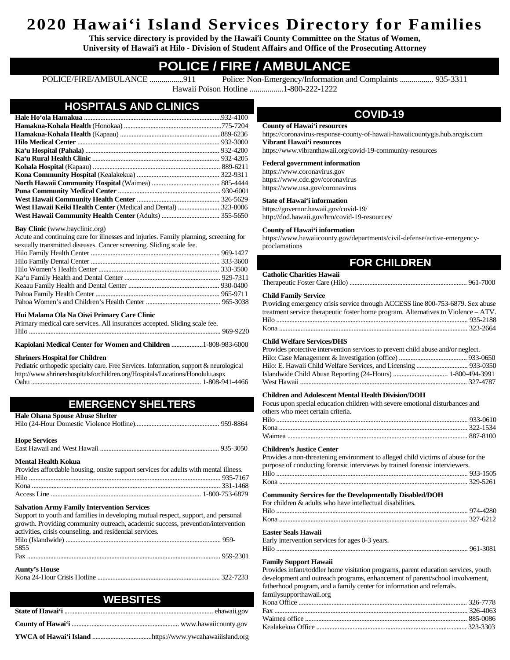# **2020 Hawai'i Island Services Directory for Families**

**This service directory is provided by the Hawai'i County Committee on the Status of Women, University of Hawai'i at Hilo - Division of Student Affairs and Office of the Prosecuting Attorney**

## **POLICE / FIRE / AMBULANCE**

POLICE/FIRE/AMBULANCE .................911 Police: Non-Emergency/Information and Complaints ................. 935-3311 Hawaii Poison Hotline .................1-800-222-1222

### **HOSPITALS AND CLINICS Hale Ho'ola Hamakua** ...................................................................................932-4100 **Hamakua-Kohala Health** (Honokaa) ...........................................................775-7204 **Hamakua-Kohala Health** (Kapaau) .............................................................889-6236 **Hilo Medical Center** ...................................................................................... 932-3000 **Ka'u Hospital (Pahala)** ................................................................................. 932-4200 **Ka'u Rural Health Clinic** ............................................................................. 932-4205 **Kohala Hospital** (Kapaau) ............................................................................. 889-6211 **Kona Community Hospital** (Kealakekua) .................................................. 322-9311 **North Hawaii Community Hospital** (Waimea) ......................................... 885-4444 **Puna Community Medical Center** .............................................................. 930-6001 **West Hawaii Community Health Center** .................................................. 326-5629 **West Hawaii Keiki Health Center** (Medical and Dental) ......................... 323-8006 **West Hawaii Community Health Center** (Adults) ................................... 355-5650

## **Bay Clinic** (www.bayclinic.org)

Acute and continuing care for illnesses and injuries. Family planning, screening for sexually transmitted diseases. Cancer screening. Sliding scale fee.

## **Hui Malama Ola Na Oiwi Primary Care Clinic**

Primary medical care services. All insurances accepted. Sliding scale fee. Hilo .................................................................................................................... 969-9220

## **Kapiolani Medical Center for Women and Children** ...................1-808-983-6000

## **Shriners Hospital for Children**

Pediatric orthopedic specialty care. Free Services. Information, support & neurological http://www.shrinershospitalsforchildren.org/Hospitals/Locations/Honolulu.aspx Oahu ....................................................................................................... 1-808-941-4466

## **EMERGENCY SHELTERS**

| <b>Hale Ohana Spouse Abuse Shelter</b>                                               |  |
|--------------------------------------------------------------------------------------|--|
|                                                                                      |  |
| <b>Hope Services</b>                                                                 |  |
|                                                                                      |  |
| <b>Mental Health Kokua</b>                                                           |  |
| Provides affordable housing, onsite support services for adults with mental illness. |  |
|                                                                                      |  |
|                                                                                      |  |
|                                                                                      |  |
| <b>Salvation Army Family Intervention Services</b>                                   |  |
| Support to youth and families in developing mutual respect, support, and personal    |  |
| growth. Providing community outreach, academic success, prevention/intervention      |  |
| activities, crisis counseling, and residential services.                             |  |
|                                                                                      |  |
| 5855                                                                                 |  |
|                                                                                      |  |
| <b>Aunty's House</b>                                                                 |  |
|                                                                                      |  |
|                                                                                      |  |
| <b>WEBSITES</b>                                                                      |  |
|                                                                                      |  |

| 11 LUVI LU |  |
|------------|--|
|            |  |
|            |  |
|            |  |

## **COVID-19**

#### **County of Hawai'i resources** [https://coronavirus-response-county-of-hawaii-hawaiicountygis.hub.arcgis.com](https://coronavirus-response-county-of-hawaii-hawaiicountygis.hub.arcgis.com/) **Vibrant Hawai'i resources**

<https://www.vibranthawaii.org/covid-19-community-resources>

## **Federal government information**

https://ww[w.coronavirus.gov](https://www.coronavirus.gov/) https://www.cd[c.gov/coronavirus](https://www.cdc.gov/coronavirus/) https://www.us[a.gov/coronavirus](https://www.usa.gov/coronavirus)

## **State of Hawai'i information**

<https://governor.hawaii.gov/covid-19/> <http://dod.hawaii.gov/hro/covid-19-resources/>

#### **County of Hawai'i information**

[https://www.hawaiicounty.gov/departments/civil-defense/active-emergency](https://www.hawaiicounty.gov/departments/civil-defense/active-emergency-proclamations)[proclamations](https://www.hawaiicounty.gov/departments/civil-defense/active-emergency-proclamations)

## **FOR CHILDREN**

| <b>Catholic Charities Hawaii</b> |  |
|----------------------------------|--|
|                                  |  |

#### **Child Family Service**

| Providing emergency crisis service through ACCESS line 800-753-6879. Sex abuse     |  |
|------------------------------------------------------------------------------------|--|
| treatment service therapeutic foster home program. Alternatives to Violence – ATV. |  |
|                                                                                    |  |
|                                                                                    |  |

#### **Child Welfare Services/DHS**

| Provides protective intervention services to prevent child abuse and/or neglect. |  |
|----------------------------------------------------------------------------------|--|
|                                                                                  |  |
|                                                                                  |  |
|                                                                                  |  |
|                                                                                  |  |

#### **Children and Adolescent Mental Health Division/DOH**

Focus upon special education children with severe emotional disturbances and others who meet certain criteria.

#### **Children's Justice Center**

| Provides a non-threatening environment to alleged child victims of abuse for the   |  |
|------------------------------------------------------------------------------------|--|
| purpose of conducting forensic interviews by trained forensic interviewers.        |  |
|                                                                                    |  |
|                                                                                    |  |
| <b>Community Services for the Developmentally Disabled/DOH</b>                     |  |
| For children & adults who have intellectual disabilities.                          |  |
|                                                                                    |  |
|                                                                                    |  |
| Easter Seals Hawaii                                                                |  |
| Early intervention services for ages 0-3 years.                                    |  |
|                                                                                    |  |
| Family Support Hawaii                                                              |  |
| Provides infant/toddler home visitation programs, parent education services, youth |  |

development and outreach programs, enhancement of parent/school involvement, fatherhood program, and a family center for information and referrals. familysupporthawaii.org

### Kona Office ...................................................................................................... 326-7778 Fax ..................................................................................................................... 326-4063 Waimea office .................................................................................................. 885-0086 Kealakekua Office ........................................................................................... 323-3303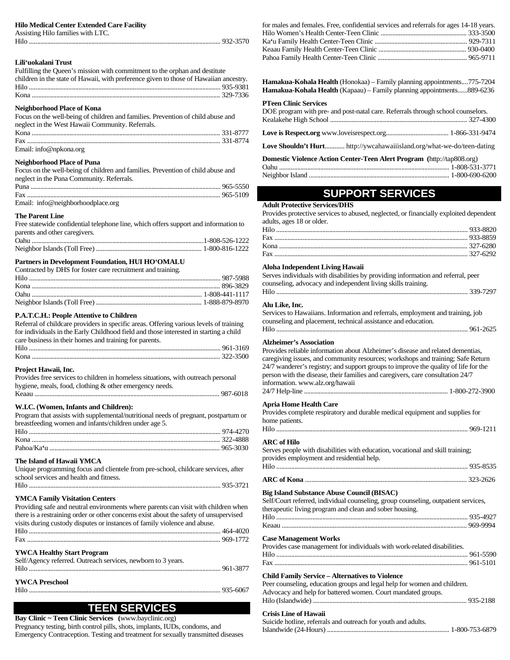#### **Hilo Medical Center Extended Care Facility**

Assisting Hilo families with LTC.

Hilo .................................................................................................................... 932-3570

## **Lili'uokalani Trust**

| Fulfilling the Queen's mission with commitment to the orphan and destitute            |  |
|---------------------------------------------------------------------------------------|--|
| children in the state of Hawaii, with preference given to those of Hawaiian ancestry. |  |
|                                                                                       |  |
|                                                                                       |  |
|                                                                                       |  |

## **Neighborhood Place of Kona**

| Focus on the well-being of children and families. Prevention of child abuse and |  |
|---------------------------------------------------------------------------------|--|
| neglect in the West Hawaii Community. Referrals.                                |  |
|                                                                                 |  |
|                                                                                 |  |
| Email: info@npkona.org                                                          |  |

#### **Neighborhood Place of Puna**

| Focus on the well-being of children and families. Prevention of child abuse and |  |
|---------------------------------------------------------------------------------|--|
| neglect in the Puna Community. Referrals.                                       |  |
|                                                                                 |  |

| Email: info@neighborhoodplace.org |  |
|-----------------------------------|--|

#### **The Parent Line**

| Free statewide confidential telephone line, which offers support and information to |  |
|-------------------------------------------------------------------------------------|--|
| parents and other caregivers.                                                       |  |
|                                                                                     |  |
|                                                                                     |  |

#### **Partners in Development Foundation, HUI HO'OMALU**

| Contracted by DHS for foster care recruitment and training. |  |
|-------------------------------------------------------------|--|
|                                                             |  |
|                                                             |  |
|                                                             |  |
|                                                             |  |

#### **P.A.T.C.H.: People Attentive to Children**

Referral of childcare providers in specific areas. Offering various levels of training for individuals in the Early Childhood field and those interested in starting a child care business in their homes and training for parents. Hilo .................................................................................................................... 961-3169

|  | $-$ |  |  |  |  |  |  |  |
|--|-----|--|--|--|--|--|--|--|

## **Project Hawaii, Inc.**

| Provides free services to children in homeless situations, with outreach personal |
|-----------------------------------------------------------------------------------|
| hygiene, meals, food, clothing & other emergency needs.                           |
|                                                                                   |

#### **W.I.C. (Women, Infants and Children):**

Program that assists with supplemental/nutritional needs of pregnant, postpartum or breastfeeding women and infants/children under age 5.

#### **The Island of Hawaii YMCA**

| Unique programming focus and clientele from pre-school, childcare services, after |
|-----------------------------------------------------------------------------------|
| school services and health and fitness.                                           |
|                                                                                   |

#### **YMCA Family Visitation Centers**

| Providing safe and neutral environments where parents can visit with children when    |
|---------------------------------------------------------------------------------------|
| there is a restraining order or other concerns exist about the safety of unsupervised |
| visits during custody disputes or instances of family violence and abuse.             |
|                                                                                       |

## **YWCA Healthy Start Program**

| Self/Agency referred. Outreach services, newborn to 3 years. |  |
|--------------------------------------------------------------|--|
|                                                              |  |
|                                                              |  |
| <b>YWCA Preschool</b>                                        |  |
|                                                              |  |

## **TEEN SERVICES**

**Bay Clinic ~ Teen Clinic Services (**www.bayclinic.org) Pregnancy testing, birth control pills, shots, implants, IUDs, condoms, and Emergency Contraception. Testing and treatment for sexually transmitted diseases

| for males and females. Free, confidential services and referrals for ages 14-18 years. |  |
|----------------------------------------------------------------------------------------|--|
|                                                                                        |  |
|                                                                                        |  |
|                                                                                        |  |
|                                                                                        |  |

**Hamakua-Kohala Health** (Honokaa) – Family planning appointments....775-7204 **Hamakua-Kohala Health** (Kapaau) – Family planning appointments......889-6236

#### **PTeen Clinic Services**

| DOE program with pre- and post-natal care. Referrals through school counselors. |  |
|---------------------------------------------------------------------------------|--|
|                                                                                 |  |
|                                                                                 |  |
| Love Shouldn't Hurt http://ywcahawaiiisland.org/what-we-do/teen-dating          |  |
| <b>Domestic Violence Action Center-Teen Alert Program</b> (http://tap808.org)   |  |
|                                                                                 |  |
|                                                                                 |  |

## **SUPPORT SERVICES Adult Protective Services/DHS**

| Provides protective services to abused, neglected, or financially exploited dependent |  |
|---------------------------------------------------------------------------------------|--|
| adults, ages 18 or older.                                                             |  |

#### **Aloha Independent Living Hawaii**

| Serves individuals with disabilities by providing information and referral, peer |
|----------------------------------------------------------------------------------|
| counseling, advocacy and independent living skills training.                     |
|                                                                                  |

#### **Alu Like, Inc.**

Services to Hawaiians. Information and referrals, employment and training, job counseling and placement, technical assistance and education.

#### **Alzheimer's Association**

| Provides reliable information about Alzheimer's disease and related dementias,      |
|-------------------------------------------------------------------------------------|
| caregiving issues, and community resources; workshops and training; Safe Return     |
| 24/7 wanderer's registry; and support groups to improve the quality of life for the |
| person with the disease, their families and caregivers, care consultation 24/7      |
| information. www.alz.org/hawaii                                                     |
|                                                                                     |
|                                                                                     |

#### **Apria Home Health Care**

| Provides complete respiratory and durable medical equipment and supplies for |
|------------------------------------------------------------------------------|
| home patients.                                                               |
|                                                                              |

#### **ARC of Hilo**

Serves people with disabilities with education, vocational and skill training; provides employment and residential help.

| Hilo               |  |
|--------------------|--|
| <b>ARC</b> of Kona |  |

## **Big Island Substance Abuse Council (BISAC)**

|  | Self/Court referred, individual counseling, group counseling, outpatient services, |  |  |  |  |  |  |
|--|------------------------------------------------------------------------------------|--|--|--|--|--|--|
|  |                                                                                    |  |  |  |  |  |  |

| therapeutic living program and clean and sober housing. |  |
|---------------------------------------------------------|--|
|                                                         |  |
|                                                         |  |

#### **Case Management Works**

Provides case management for individuals with work-related disabilities.

## **Child Family Service – Alternatives to Violence**

| Peer counseling, education groups and legal help for women and children. |  |
|--------------------------------------------------------------------------|--|
| Advocacy and help for battered women. Court mandated groups.             |  |
|                                                                          |  |

#### **Crisis Line of Hawaii**

Suicide hotline, referrals and outreach for youth and adults. Islandwide (24-Hours) .......................................................................... 1-800-753-6879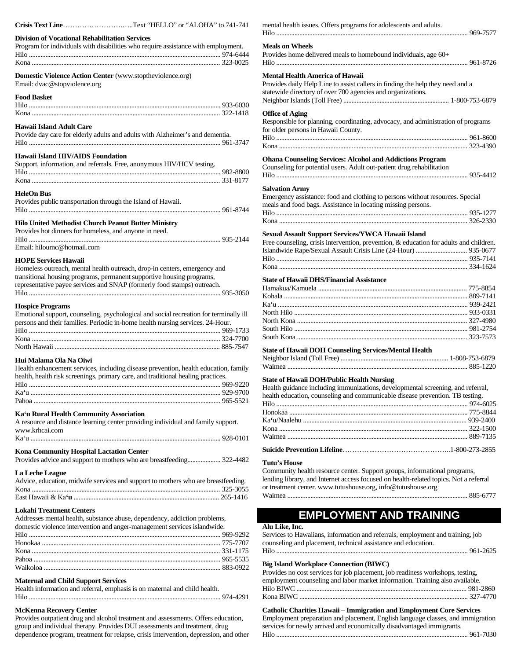| Crisis Text LineText "HELLO" or "ALOHA" to 741-741                                                                                                                                                 |  |
|----------------------------------------------------------------------------------------------------------------------------------------------------------------------------------------------------|--|
| <b>Division of Vocational Rehabilitation Services</b><br>Program for individuals with disabilities who require assistance with employment.                                                         |  |
|                                                                                                                                                                                                    |  |
| Domestic Violence Action Center (www.stoptheviolence.org)<br>Email: dvac@stopviolence.org                                                                                                          |  |
| <b>Food Basket</b>                                                                                                                                                                                 |  |
|                                                                                                                                                                                                    |  |
| <b>Hawaii Island Adult Care</b>                                                                                                                                                                    |  |
| Provide day care for elderly adults and adults with Alzheimer's and dementia.                                                                                                                      |  |
| <b>Hawaii Island HIV/AIDS Foundation</b>                                                                                                                                                           |  |
| Support, information, and referrals. Free, anonymous HIV/HCV testing.                                                                                                                              |  |
|                                                                                                                                                                                                    |  |
|                                                                                                                                                                                                    |  |
| <b>HeleOn Bus</b><br>Provides public transportation through the Island of Hawaii.                                                                                                                  |  |
| <b>Hilo United Methodist Church Peanut Butter Ministry</b>                                                                                                                                         |  |
| Provides hot dinners for homeless, and anyone in need.                                                                                                                                             |  |
|                                                                                                                                                                                                    |  |
| Email: hiloumc@hotmail.com                                                                                                                                                                         |  |
| <b>HOPE Services Hawaii</b><br>Homeless outreach, mental health outreach, drop-in centers, emergency and<br>transitional housing programs, permanent supportive housing programs,                  |  |
| representative payee services and SNAP (formerly food stamps) outreach.                                                                                                                            |  |
| <b>Hospice Programs</b><br>Emotional support, counseling, psychological and social recreation for terminally ill<br>persons and their families. Periodic in-home health nursing services. 24-Hour. |  |
|                                                                                                                                                                                                    |  |
| Hui Malama Ola Na Oiwi<br>Health enhancement services, including disease prevention, health education, family<br>health, health risk screenings, primary care, and traditional healing practices.  |  |
| Hilo                                                                                                                                                                                               |  |
|                                                                                                                                                                                                    |  |
|                                                                                                                                                                                                    |  |
| Ka'u Rural Health Community Association<br>A resource and distance learning center providing individual and family support.<br>www.krhcai.com                                                      |  |
|                                                                                                                                                                                                    |  |
| Kona Community Hospital Lactation Center<br>Provides advice and support to mothers who are breastfeeding 322-4482                                                                                  |  |
|                                                                                                                                                                                                    |  |
| La Leche League<br>Advice, education, midwife services and support to mothers who are breastfeeding.                                                                                               |  |
|                                                                                                                                                                                                    |  |
| <b>Lokahi Treatment Centers</b>                                                                                                                                                                    |  |
| Addresses mental health, substance abuse, dependency, addiction problems,                                                                                                                          |  |
| domestic violence intervention and anger-management services islandwide.                                                                                                                           |  |
|                                                                                                                                                                                                    |  |
|                                                                                                                                                                                                    |  |
|                                                                                                                                                                                                    |  |
|                                                                                                                                                                                                    |  |
| <b>Maternal and Child Support Services</b>                                                                                                                                                         |  |
| Health information and referral, emphasis is on maternal and child health.                                                                                                                         |  |

#### **McKenna Recovery Center**

Provides outpatient drug and alcohol treatment and assessments. Offers education, group and individual therapy. Provides DUI assessments and treatment, drug dependence program, treatment for relapse, crisis intervention, depression, and other mental health issues. Offers programs for adolescents and adults. Hilo .................................................................................................................... 969-7577 **Meals on Wheels** Provides home delivered meals to homebound individuals, age 60+ Hilo .................................................................................................................... 961-8726 **Mental Health America of Hawaii** Provides daily Help Line to assist callers in finding the help they need and a statewide directory of over 700 agencies and organizations. Neighbor Islands (Toll Free) ................................................................ 1-800-753-6879 **Office of Aging** Responsible for planning, coordinating, advocacy, and administration of programs for older persons in Hawaii County. Hilo .................................................................................................................... 961-8600 Kona .................................................................................................................. 323-4390 **Ohana Counseling Services: Alcohol and Addictions Program** Counseling for potential users. Adult out-patient drug rehabilitation Hilo .................................................................................................................... 935-4412 **Salvation Army** Emergency assistance: food and clothing to persons without resources. Special meals and food bags. Assistance in locating missing persons.

### Hilo .................................................................................................................... 935-1277 Kona .................................................................................................................. 326-2330

## **Sexual Assault Support Services/YWCA Hawaii Island**

| Free counseling, crisis intervention, prevention, & education for adults and children. |  |
|----------------------------------------------------------------------------------------|--|
|                                                                                        |  |
|                                                                                        |  |
|                                                                                        |  |

## **State of Hawaii DHS/Financial Assistance**

## **State of Hawaii DOH Counseling Services/Mental Health**

## **State of Hawaii DOH/Public Health Nursing**

Health guidance including immunizations, developmental screening, and referral,

| health education, counseling and communicable disease prevention. TB testing. |  |
|-------------------------------------------------------------------------------|--|
|                                                                               |  |
|                                                                               |  |
|                                                                               |  |
|                                                                               |  |
|                                                                               |  |
|                                                                               |  |

#### **Tutu's House**

Community health resource center. Support groups, informational programs, lending library, and Internet access focused on health-related topics. Not a referral or treatment center[. www.tutushouse.org,](http://www.tutushouse.org/) [info@tutushouse.org](mailto:info@tutushouse.org) Waimea ............................................................................................................. 885-6777

## **EMPLOYMENT AND TRAINING**

### **Alu Like, Inc.**

| Services to Hawaiians, information and referrals, employment and training, job |  |
|--------------------------------------------------------------------------------|--|
| counseling and placement, technical assistance and education.                  |  |
|                                                                                |  |

#### **Big Island Workplace Connection (BIWC)**

| Provides no cost services for job placement, job readiness workshops, testing, |  |
|--------------------------------------------------------------------------------|--|
| employment counseling and labor market information. Training also available.   |  |
|                                                                                |  |
|                                                                                |  |

## **Catholic Charities Hawaii – Immigration and Employment Core Services**

Employment preparation and placement, English language classes, and immigration services for newly arrived and economically disadvantaged immigrants. Hilo .................................................................................................................... 961-7030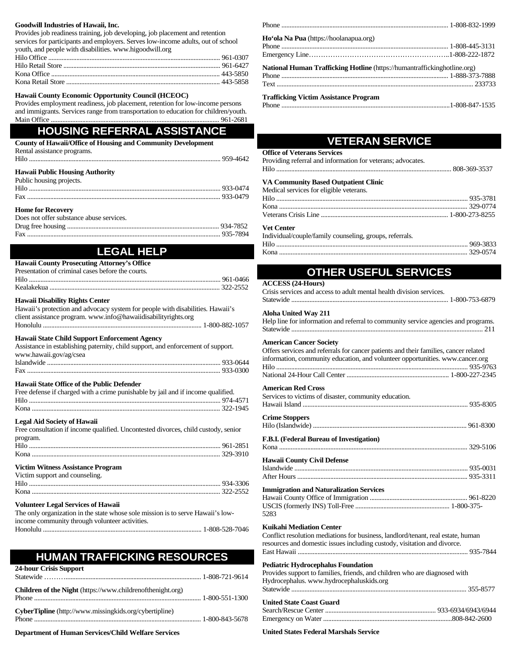#### **Goodwill Industries of Hawaii, Inc.**

Provides job readiness training, job developing, job placement and retention services for participants and employers. Serves low-income adults, out of school youth, and people with disabilities. www.higoodwill.org

#### **Hawaii County Economic Opportunity Council (HCEOC)**

Provides employment readiness, job placement, retention for low-income persons and immigrants. Services range from transportation to education for children/youth. Main Office ...................................................................................................... 961-2681

## **HOUSING REFERRAL ASSISTANCE**

| <b>County of Hawaii/Office of Housing and Community Development</b> |  |
|---------------------------------------------------------------------|--|
| Rental assistance programs.                                         |  |
|                                                                     |  |
| <b>Hawaii Public Housing Authority</b>                              |  |
| Public housing projects.                                            |  |
|                                                                     |  |
|                                                                     |  |

#### **Home for Recovery**

| Does not offer substance abuse services. |  |
|------------------------------------------|--|
|                                          |  |
|                                          |  |

## **LEGAL HELP**

| <b>Hawaii County Prosecuting Attorney's Office</b> |  |
|----------------------------------------------------|--|
| Presentation of criminal cases before the courts.  |  |
|                                                    |  |
|                                                    |  |
|                                                    |  |

### **Hawaii Disability Rights Center**

| Hawaii's protection and advocacy system for people with disabilities. Hawaii's                                                    |  |
|-----------------------------------------------------------------------------------------------------------------------------------|--|
| client assistance program, www.info@hawaiidisabilityrights.org                                                                    |  |
|                                                                                                                                   |  |
| Hawaii State Child Support Enforcement Agency<br>Assistance in establishing paternity, child support, and enforcement of support. |  |
| www.hawaii.gov/ag/csea                                                                                                            |  |

## **Hawaii State Office of the Public Defender**

| Free defense if charged with a crime punishable by jail and if income qualified. |  |
|----------------------------------------------------------------------------------|--|
|                                                                                  |  |
|                                                                                  |  |

#### **Legal Aid Society of Hawaii**

| Free consultation if income qualified. Uncontested divorces, child custody, senior |  |
|------------------------------------------------------------------------------------|--|
| program.                                                                           |  |
|                                                                                    |  |
|                                                                                    |  |

#### **Victim Witness Assistance Program**

| Victim support and counseling. |  |
|--------------------------------|--|
|                                |  |
|                                |  |

### **Volunteer Legal Services of Hawaii**

| The only organization in the state whose sole mission is to serve Hawaii's low- |
|---------------------------------------------------------------------------------|
| income community through volunteer activities.                                  |
|                                                                                 |

## **HUMAN TRAFFICKING RESOURCES**

| 24-hour Crisis Support                                        |  |
|---------------------------------------------------------------|--|
| Children of the Night (https://www.childrenofthenight.org)    |  |
| <b>CyberTipline</b> (http://www.missingkids.org/cybertipline) |  |

**Department of Human Services/Child Welfare Services**

| Ho'ola Na Pua (https://hoolanapua.org)                                          |  |
|---------------------------------------------------------------------------------|--|
|                                                                                 |  |
|                                                                                 |  |
| <b>National Human Trafficking Hotline</b> (https://humantraffickinghotline.org) |  |
|                                                                                 |  |
|                                                                                 |  |
| <b>Trafficking Victim Assistance Program</b>                                    |  |

## Phone ......................................................................................................1-808-847-1535

## **VETERAN SERVICE**

## **Office of Veterans Services** Providing referral and information for veterans; advocates. Hilo .......................................................................................................... 808-369-3537

#### **VA Community Based Outpatient Clinic** Medical services for eligible

| <b>Vet Center</b>                       |  |
|-----------------------------------------|--|
|                                         |  |
|                                         |  |
|                                         |  |
| Medical services for eligible veterans. |  |

#### Individual/couple/family counseling, groups, referrals.

Hilo .................................................................................................................... 969-3833 Kona .................................................................................................................. 329-0574

## **OTHER USEFUL SERVICES**

#### **ACCESS (24-Hours)**

Crisis services and access to adult mental health division services.

## Statewide ............................................................................................... 1-800-753-6879

### **Aloha United Way 211**

Help line for information and referral to community service agencies and programs. Statewide .................................................................................................................... 211

#### **American Cancer Society**

| Offers services and referrals for cancer patients and their families, cancer related |  |
|--------------------------------------------------------------------------------------|--|
| information, community education, and volunteer opportunities. www.cancer.org        |  |
|                                                                                      |  |
|                                                                                      |  |

#### **American Red Cross**

| Services to victims of disaster, community education.  |  |
|--------------------------------------------------------|--|
| <b>Crime Stoppers</b>                                  |  |
| F.B.I. (Federal Bureau of Investigation)               |  |
| <b>Hawaii County Civil Defense</b>                     |  |
| <b>Immigration and Naturalization Services</b><br>5283 |  |
| Kuikahi Mediation Center                               |  |

#### **Kuikahi Mediation Center**

Conflict resolution mediations for business, landlord/tenant, real estate, human resources and domestic issues including custody, visitation and divorce. East Hawaii ....................................................................................................... 935-7844

#### **Pediatric Hydrocephalus Foundation**

| Provides support to families, friends, and children who are diagnosed with |  |
|----------------------------------------------------------------------------|--|
| Hydrocephalus. www.hydrocephaluskids.org                                   |  |
|                                                                            |  |
|                                                                            |  |
| <b>United State Coast Guard</b>                                            |  |
|                                                                            |  |

#### **United States Federal Marshals Service**